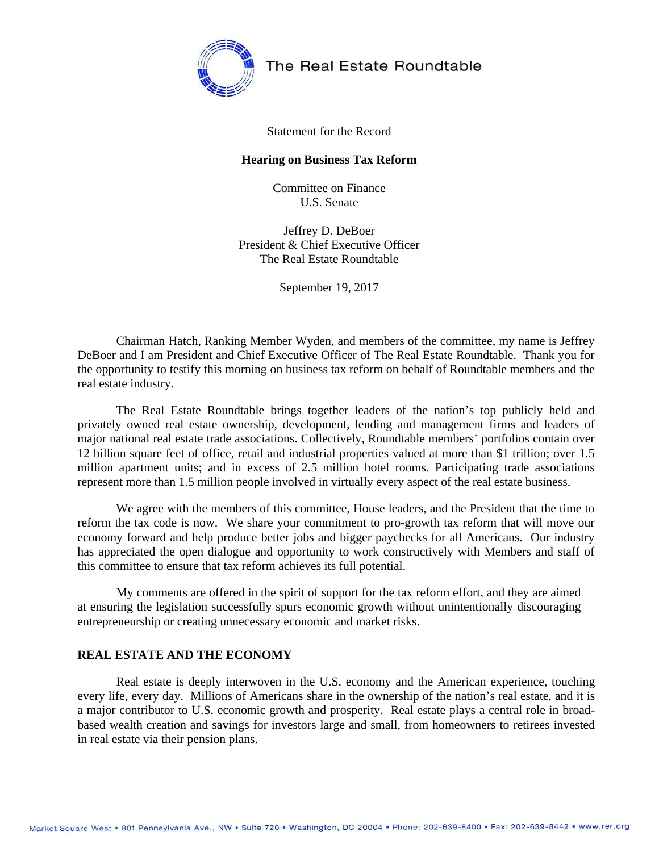

The Real Estate Roundtable

#### Statement for the Record

#### **Hearing on Business Tax Reform**

Committee on Finance U.S. Senate

Jeffrey D. DeBoer President & Chief Executive Officer The Real Estate Roundtable

September 19, 2017

Chairman Hatch, Ranking Member Wyden, and members of the committee, my name is Jeffrey DeBoer and I am President and Chief Executive Officer of The Real Estate Roundtable. Thank you for the opportunity to testify this morning on business tax reform on behalf of Roundtable members and the real estate industry.

The Real Estate Roundtable brings together leaders of the nation's top publicly held and privately owned real estate ownership, development, lending and management firms and leaders of major national real estate trade associations. Collectively, Roundtable members' portfolios contain over 12 billion square feet of office, retail and industrial properties valued at more than \$1 trillion; over 1.5 million apartment units; and in excess of 2.5 million hotel rooms. Participating trade associations represent more than 1.5 million people involved in virtually every aspect of the real estate business.

We agree with the members of this committee, House leaders, and the President that the time to reform the tax code is now. We share your commitment to pro-growth tax reform that will move our economy forward and help produce better jobs and bigger paychecks for all Americans. Our industry has appreciated the open dialogue and opportunity to work constructively with Members and staff of this committee to ensure that tax reform achieves its full potential.

My comments are offered in the spirit of support for the tax reform effort, and they are aimed at ensuring the legislation successfully spurs economic growth without unintentionally discouraging entrepreneurship or creating unnecessary economic and market risks.

#### **REAL ESTATE AND THE ECONOMY**

Real estate is deeply interwoven in the U.S. economy and the American experience, touching every life, every day. Millions of Americans share in the ownership of the nation's real estate, and it is a major contributor to U.S. economic growth and prosperity. Real estate plays a central role in broadbased wealth creation and savings for investors large and small, from homeowners to retirees invested in real estate via their pension plans.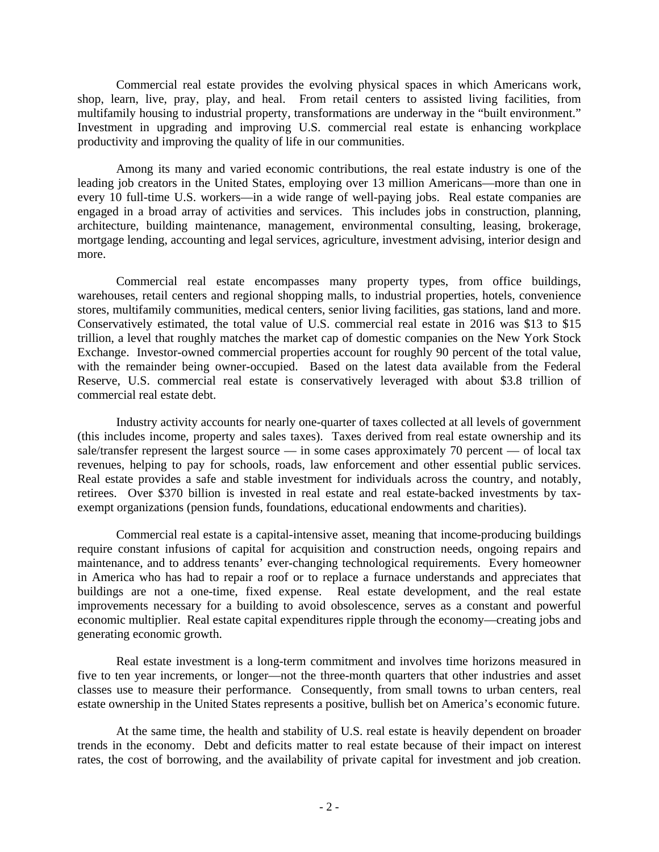Commercial real estate provides the evolving physical spaces in which Americans work, shop, learn, live, pray, play, and heal. From retail centers to assisted living facilities, from multifamily housing to industrial property, transformations are underway in the "built environment." Investment in upgrading and improving U.S. commercial real estate is enhancing workplace productivity and improving the quality of life in our communities.

Among its many and varied economic contributions, the real estate industry is one of the leading job creators in the United States, employing over 13 million Americans—more than one in every 10 full-time U.S. workers—in a wide range of well-paying jobs. Real estate companies are engaged in a broad array of activities and services. This includes jobs in construction, planning, architecture, building maintenance, management, environmental consulting, leasing, brokerage, mortgage lending, accounting and legal services, agriculture, investment advising, interior design and more.

Commercial real estate encompasses many property types, from office buildings, warehouses, retail centers and regional shopping malls, to industrial properties, hotels, convenience stores, multifamily communities, medical centers, senior living facilities, gas stations, land and more. Conservatively estimated, the total value of U.S. commercial real estate in 2016 was \$13 to \$15 trillion, a level that roughly matches the market cap of domestic companies on the New York Stock Exchange. Investor-owned commercial properties account for roughly 90 percent of the total value, with the remainder being owner-occupied. Based on the latest data available from the Federal Reserve, U.S. commercial real estate is conservatively leveraged with about \$3.8 trillion of commercial real estate debt.

Industry activity accounts for nearly one-quarter of taxes collected at all levels of government (this includes income, property and sales taxes). Taxes derived from real estate ownership and its sale/transfer represent the largest source — in some cases approximately 70 percent — of local tax revenues, helping to pay for schools, roads, law enforcement and other essential public services. Real estate provides a safe and stable investment for individuals across the country, and notably, retirees. Over \$370 billion is invested in real estate and real estate-backed investments by taxexempt organizations (pension funds, foundations, educational endowments and charities).

Commercial real estate is a capital-intensive asset, meaning that income-producing buildings require constant infusions of capital for acquisition and construction needs, ongoing repairs and maintenance, and to address tenants' ever-changing technological requirements. Every homeowner in America who has had to repair a roof or to replace a furnace understands and appreciates that buildings are not a one-time, fixed expense. Real estate development, and the real estate improvements necessary for a building to avoid obsolescence, serves as a constant and powerful economic multiplier. Real estate capital expenditures ripple through the economy—creating jobs and generating economic growth.

Real estate investment is a long-term commitment and involves time horizons measured in five to ten year increments, or longer—not the three-month quarters that other industries and asset classes use to measure their performance. Consequently, from small towns to urban centers, real estate ownership in the United States represents a positive, bullish bet on America's economic future.

At the same time, the health and stability of U.S. real estate is heavily dependent on broader trends in the economy. Debt and deficits matter to real estate because of their impact on interest rates, the cost of borrowing, and the availability of private capital for investment and job creation.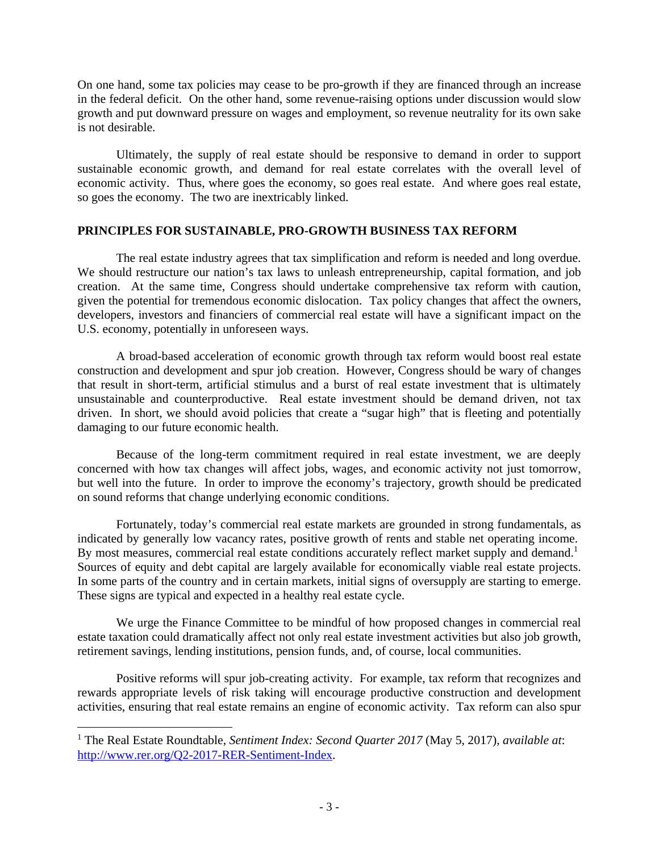On one hand, some tax policies may cease to be pro-growth if they are financed through an increase in the federal deficit. On the other hand, some revenue-raising options under discussion would slow growth and put downward pressure on wages and employment, so revenue neutrality for its own sake is not desirable.

Ultimately, the supply of real estate should be responsive to demand in order to support sustainable economic growth, and demand for real estate correlates with the overall level of economic activity. Thus, where goes the economy, so goes real estate. And where goes real estate, so goes the economy. The two are inextricably linked.

## **PRINCIPLES FOR SUSTAINABLE, PRO-GROWTH BUSINESS TAX REFORM**

The real estate industry agrees that tax simplification and reform is needed and long overdue. We should restructure our nation's tax laws to unleash entrepreneurship, capital formation, and job creation. At the same time, Congress should undertake comprehensive tax reform with caution, given the potential for tremendous economic dislocation. Tax policy changes that affect the owners, developers, investors and financiers of commercial real estate will have a significant impact on the U.S. economy, potentially in unforeseen ways.

A broad-based acceleration of economic growth through tax reform would boost real estate construction and development and spur job creation. However, Congress should be wary of changes that result in short-term, artificial stimulus and a burst of real estate investment that is ultimately unsustainable and counterproductive. Real estate investment should be demand driven, not tax driven. In short, we should avoid policies that create a "sugar high" that is fleeting and potentially damaging to our future economic health.

Because of the long-term commitment required in real estate investment, we are deeply concerned with how tax changes will affect jobs, wages, and economic activity not just tomorrow, but well into the future. In order to improve the economy's trajectory, growth should be predicated on sound reforms that change underlying economic conditions.

Fortunately, today's commercial real estate markets are grounded in strong fundamentals, as indicated by generally low vacancy rates, positive growth of rents and stable net operating income. By most measures, commercial real estate conditions accurately reflect market supply and demand.<sup>1</sup> Sources of equity and debt capital are largely available for economically viable real estate projects. In some parts of the country and in certain markets, initial signs of oversupply are starting to emerge. These signs are typical and expected in a healthy real estate cycle.

We urge the Finance Committee to be mindful of how proposed changes in commercial real estate taxation could dramatically affect not only real estate investment activities but also job growth, retirement savings, lending institutions, pension funds, and, of course, local communities.

Positive reforms will spur job-creating activity. For example, tax reform that recognizes and rewards appropriate levels of risk taking will encourage productive construction and development activities, ensuring that real estate remains an engine of economic activity. Tax reform can also spur

<sup>1</sup> The Real Estate Roundtable, *Sentiment Index: Second Quarter 2017* (May 5, 2017), *available at*: http://www.rer.org/Q2-2017-RER-Sentiment-Index.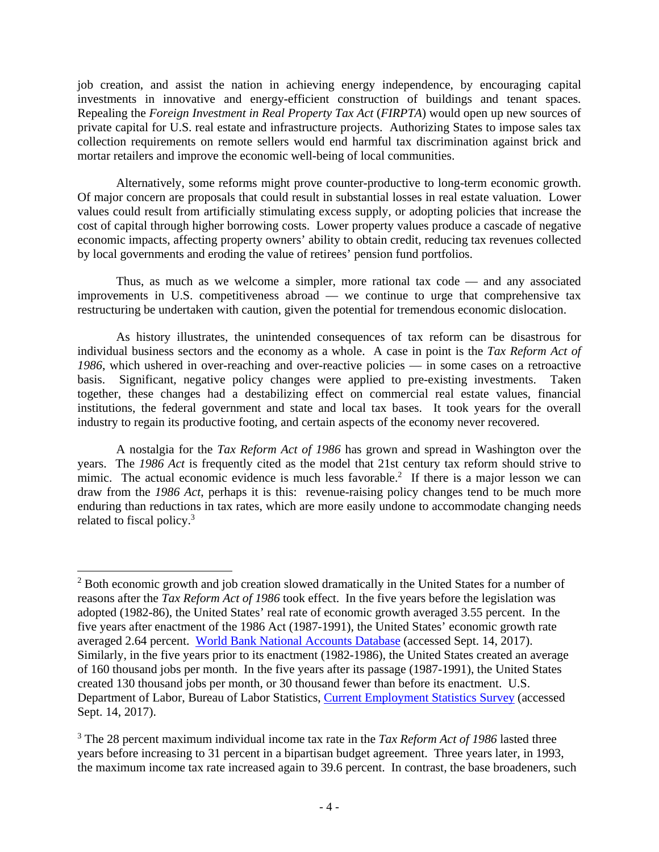job creation, and assist the nation in achieving energy independence, by encouraging capital investments in innovative and energy-efficient construction of buildings and tenant spaces. Repealing the *Foreign Investment in Real Property Tax Act* (*FIRPTA*) would open up new sources of private capital for U.S. real estate and infrastructure projects. Authorizing States to impose sales tax collection requirements on remote sellers would end harmful tax discrimination against brick and mortar retailers and improve the economic well-being of local communities.

Alternatively, some reforms might prove counter-productive to long-term economic growth. Of major concern are proposals that could result in substantial losses in real estate valuation. Lower values could result from artificially stimulating excess supply, or adopting policies that increase the cost of capital through higher borrowing costs. Lower property values produce a cascade of negative economic impacts, affecting property owners' ability to obtain credit, reducing tax revenues collected by local governments and eroding the value of retirees' pension fund portfolios.

Thus, as much as we welcome a simpler, more rational tax code — and any associated improvements in U.S. competitiveness abroad — we continue to urge that comprehensive tax restructuring be undertaken with caution, given the potential for tremendous economic dislocation.

As history illustrates, the unintended consequences of tax reform can be disastrous for individual business sectors and the economy as a whole. A case in point is the *Tax Reform Act of 1986*, which ushered in over-reaching and over-reactive policies — in some cases on a retroactive basis. Significant, negative policy changes were applied to pre-existing investments. Taken together, these changes had a destabilizing effect on commercial real estate values, financial institutions, the federal government and state and local tax bases. It took years for the overall industry to regain its productive footing, and certain aspects of the economy never recovered.

A nostalgia for the *Tax Reform Act of 1986* has grown and spread in Washington over the years. The *1986 Act* is frequently cited as the model that 21st century tax reform should strive to mimic. The actual economic evidence is much less favorable.<sup>2</sup> If there is a major lesson we can draw from the *1986 Act*, perhaps it is this: revenue-raising policy changes tend to be much more enduring than reductions in tax rates, which are more easily undone to accommodate changing needs related to fiscal policy.<sup>3</sup>

<sup>&</sup>lt;sup>2</sup> Both economic growth and job creation slowed dramatically in the United States for a number of reasons after the *Tax Reform Act of 1986* took effect. In the five years before the legislation was adopted (1982-86), the United States' real rate of economic growth averaged 3.55 percent. In the five years after enactment of the 1986 Act (1987-1991), the United States' economic growth rate averaged 2.64 percent. World Bank National Accounts Database (accessed Sept. 14, 2017). Similarly, in the five years prior to its enactment (1982-1986), the United States created an average of 160 thousand jobs per month. In the five years after its passage (1987-1991), the United States created 130 thousand jobs per month, or 30 thousand fewer than before its enactment. U.S. Department of Labor, Bureau of Labor Statistics, Current Employment Statistics Survey (accessed Sept. 14, 2017).

<sup>&</sup>lt;sup>3</sup> The 28 percent maximum individual income tax rate in the *Tax Reform Act of 1986* lasted three years before increasing to 31 percent in a bipartisan budget agreement. Three years later, in 1993, the maximum income tax rate increased again to 39.6 percent. In contrast, the base broadeners, such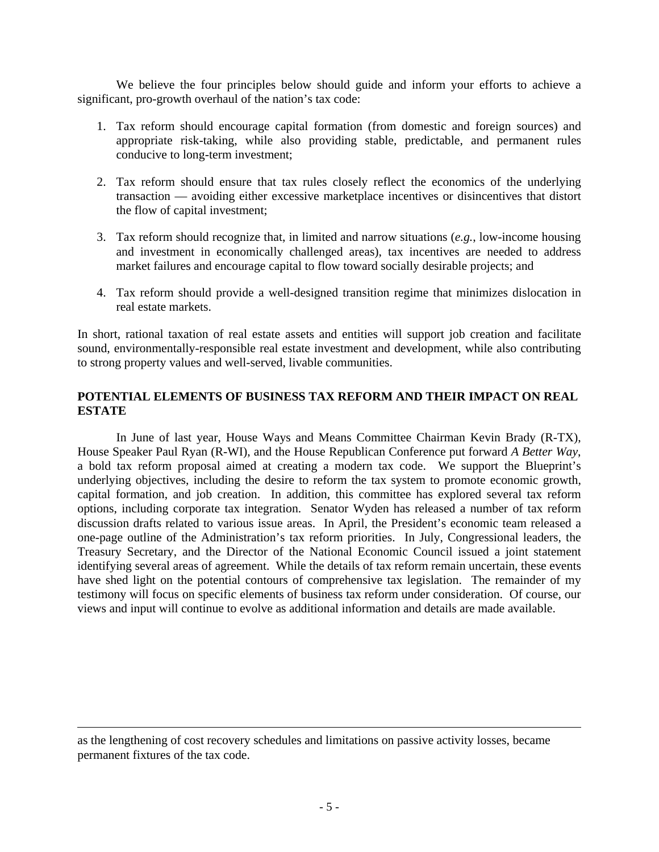We believe the four principles below should guide and inform your efforts to achieve a significant, pro-growth overhaul of the nation's tax code:

- 1. Tax reform should encourage capital formation (from domestic and foreign sources) and appropriate risk-taking, while also providing stable, predictable, and permanent rules conducive to long-term investment;
- 2. Tax reform should ensure that tax rules closely reflect the economics of the underlying transaction — avoiding either excessive marketplace incentives or disincentives that distort the flow of capital investment;
- 3. Tax reform should recognize that, in limited and narrow situations (*e.g.*, low-income housing and investment in economically challenged areas), tax incentives are needed to address market failures and encourage capital to flow toward socially desirable projects; and
- 4. Tax reform should provide a well-designed transition regime that minimizes dislocation in real estate markets.

In short, rational taxation of real estate assets and entities will support job creation and facilitate sound, environmentally-responsible real estate investment and development, while also contributing to strong property values and well-served, livable communities.

## **POTENTIAL ELEMENTS OF BUSINESS TAX REFORM AND THEIR IMPACT ON REAL ESTATE**

In June of last year, House Ways and Means Committee Chairman Kevin Brady (R-TX), House Speaker Paul Ryan (R-WI), and the House Republican Conference put forward *A Better Way*, a bold tax reform proposal aimed at creating a modern tax code. We support the Blueprint's underlying objectives, including the desire to reform the tax system to promote economic growth, capital formation, and job creation. In addition, this committee has explored several tax reform options, including corporate tax integration. Senator Wyden has released a number of tax reform discussion drafts related to various issue areas. In April, the President's economic team released a one-page outline of the Administration's tax reform priorities. In July, Congressional leaders, the Treasury Secretary, and the Director of the National Economic Council issued a joint statement identifying several areas of agreement. While the details of tax reform remain uncertain, these events have shed light on the potential contours of comprehensive tax legislation. The remainder of my testimony will focus on specific elements of business tax reform under consideration. Of course, our views and input will continue to evolve as additional information and details are made available.

<u> 1989 - Johann Stein, marwolaethau a gweledydd a ganlad y ganlad y ganlad y ganlad y ganlad y ganlad y ganlad</u>

as the lengthening of cost recovery schedules and limitations on passive activity losses, became permanent fixtures of the tax code.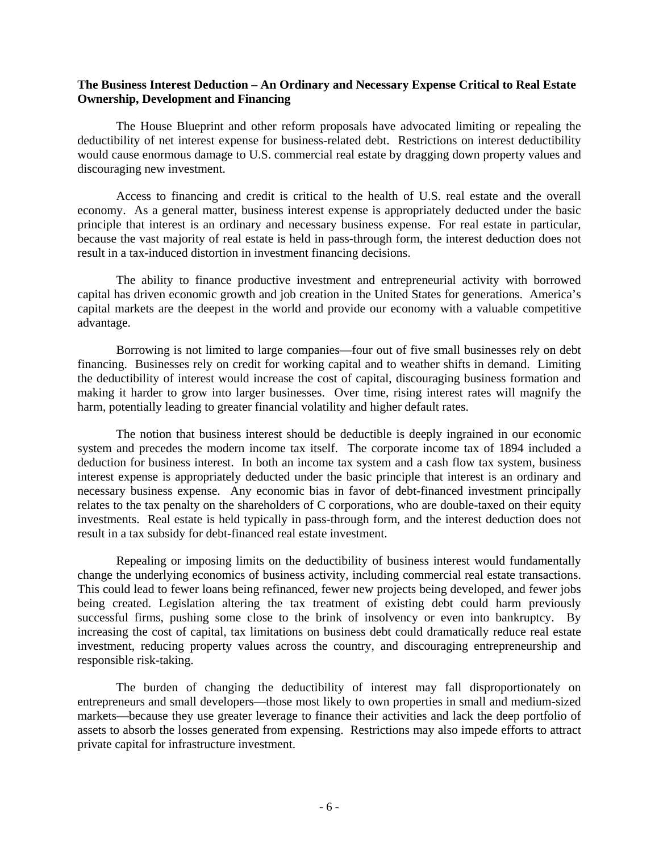### **The Business Interest Deduction – An Ordinary and Necessary Expense Critical to Real Estate Ownership, Development and Financing**

The House Blueprint and other reform proposals have advocated limiting or repealing the deductibility of net interest expense for business-related debt. Restrictions on interest deductibility would cause enormous damage to U.S. commercial real estate by dragging down property values and discouraging new investment.

Access to financing and credit is critical to the health of U.S. real estate and the overall economy. As a general matter, business interest expense is appropriately deducted under the basic principle that interest is an ordinary and necessary business expense. For real estate in particular, because the vast majority of real estate is held in pass-through form, the interest deduction does not result in a tax-induced distortion in investment financing decisions.

The ability to finance productive investment and entrepreneurial activity with borrowed capital has driven economic growth and job creation in the United States for generations. America's capital markets are the deepest in the world and provide our economy with a valuable competitive advantage.

Borrowing is not limited to large companies—four out of five small businesses rely on debt financing. Businesses rely on credit for working capital and to weather shifts in demand. Limiting the deductibility of interest would increase the cost of capital, discouraging business formation and making it harder to grow into larger businesses. Over time, rising interest rates will magnify the harm, potentially leading to greater financial volatility and higher default rates.

The notion that business interest should be deductible is deeply ingrained in our economic system and precedes the modern income tax itself. The corporate income tax of 1894 included a deduction for business interest. In both an income tax system and a cash flow tax system, business interest expense is appropriately deducted under the basic principle that interest is an ordinary and necessary business expense. Any economic bias in favor of debt-financed investment principally relates to the tax penalty on the shareholders of C corporations, who are double-taxed on their equity investments. Real estate is held typically in pass-through form, and the interest deduction does not result in a tax subsidy for debt-financed real estate investment.

Repealing or imposing limits on the deductibility of business interest would fundamentally change the underlying economics of business activity, including commercial real estate transactions. This could lead to fewer loans being refinanced, fewer new projects being developed, and fewer jobs being created. Legislation altering the tax treatment of existing debt could harm previously successful firms, pushing some close to the brink of insolvency or even into bankruptcy. By increasing the cost of capital, tax limitations on business debt could dramatically reduce real estate investment, reducing property values across the country, and discouraging entrepreneurship and responsible risk-taking.

The burden of changing the deductibility of interest may fall disproportionately on entrepreneurs and small developers—those most likely to own properties in small and medium-sized markets—because they use greater leverage to finance their activities and lack the deep portfolio of assets to absorb the losses generated from expensing. Restrictions may also impede efforts to attract private capital for infrastructure investment.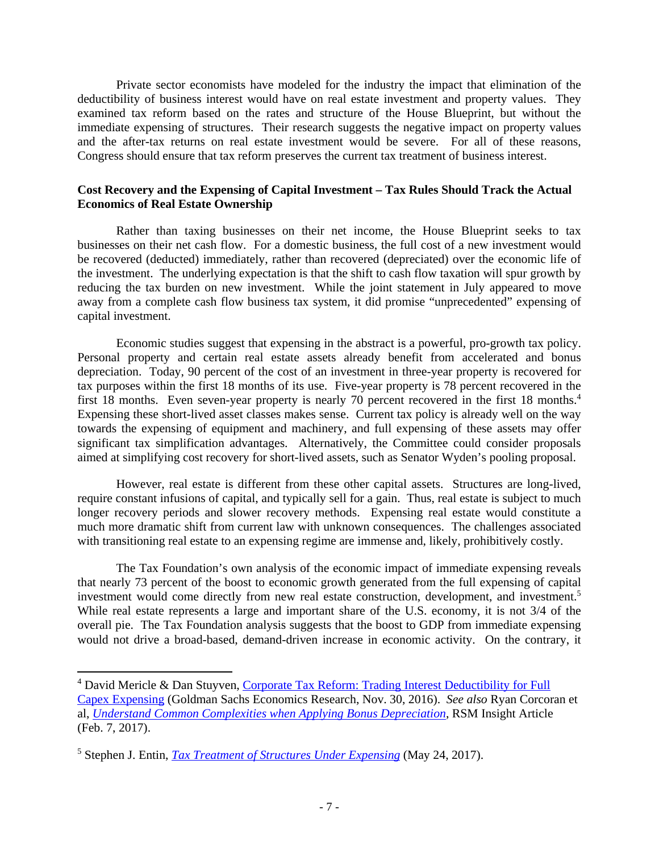Private sector economists have modeled for the industry the impact that elimination of the deductibility of business interest would have on real estate investment and property values. They examined tax reform based on the rates and structure of the House Blueprint, but without the immediate expensing of structures. Their research suggests the negative impact on property values and the after-tax returns on real estate investment would be severe. For all of these reasons, Congress should ensure that tax reform preserves the current tax treatment of business interest.

## **Cost Recovery and the Expensing of Capital Investment – Tax Rules Should Track the Actual Economics of Real Estate Ownership**

Rather than taxing businesses on their net income, the House Blueprint seeks to tax businesses on their net cash flow. For a domestic business, the full cost of a new investment would be recovered (deducted) immediately, rather than recovered (depreciated) over the economic life of the investment. The underlying expectation is that the shift to cash flow taxation will spur growth by reducing the tax burden on new investment. While the joint statement in July appeared to move away from a complete cash flow business tax system, it did promise "unprecedented" expensing of capital investment.

Economic studies suggest that expensing in the abstract is a powerful, pro-growth tax policy. Personal property and certain real estate assets already benefit from accelerated and bonus depreciation. Today, 90 percent of the cost of an investment in three-year property is recovered for tax purposes within the first 18 months of its use. Five-year property is 78 percent recovered in the first 18 months. Even seven-year property is nearly 70 percent recovered in the first 18 months.<sup>4</sup> Expensing these short-lived asset classes makes sense. Current tax policy is already well on the way towards the expensing of equipment and machinery, and full expensing of these assets may offer significant tax simplification advantages. Alternatively, the Committee could consider proposals aimed at simplifying cost recovery for short-lived assets, such as Senator Wyden's pooling proposal.

However, real estate is different from these other capital assets. Structures are long-lived, require constant infusions of capital, and typically sell for a gain. Thus, real estate is subject to much longer recovery periods and slower recovery methods. Expensing real estate would constitute a much more dramatic shift from current law with unknown consequences. The challenges associated with transitioning real estate to an expensing regime are immense and, likely, prohibitively costly.

The Tax Foundation's own analysis of the economic impact of immediate expensing reveals that nearly 73 percent of the boost to economic growth generated from the full expensing of capital investment would come directly from new real estate construction, development, and investment.<sup>5</sup> While real estate represents a large and important share of the U.S. economy, it is not 3/4 of the overall pie. The Tax Foundation analysis suggests that the boost to GDP from immediate expensing would not drive a broad-based, demand-driven increase in economic activity. On the contrary, it

<sup>&</sup>lt;sup>4</sup> David Mericle & Dan Stuyven, Corporate Tax Reform: Trading Interest Deductibility for Full Capex Expensing (Goldman Sachs Economics Research, Nov. 30, 2016). *See also* Ryan Corcoran et al, *Understand Common Complexities when Applying Bonus Depreciation*, RSM Insight Article (Feb. 7, 2017).

<sup>5</sup> Stephen J. Entin, *Tax Treatment of Structures Under Expensing* (May 24, 2017).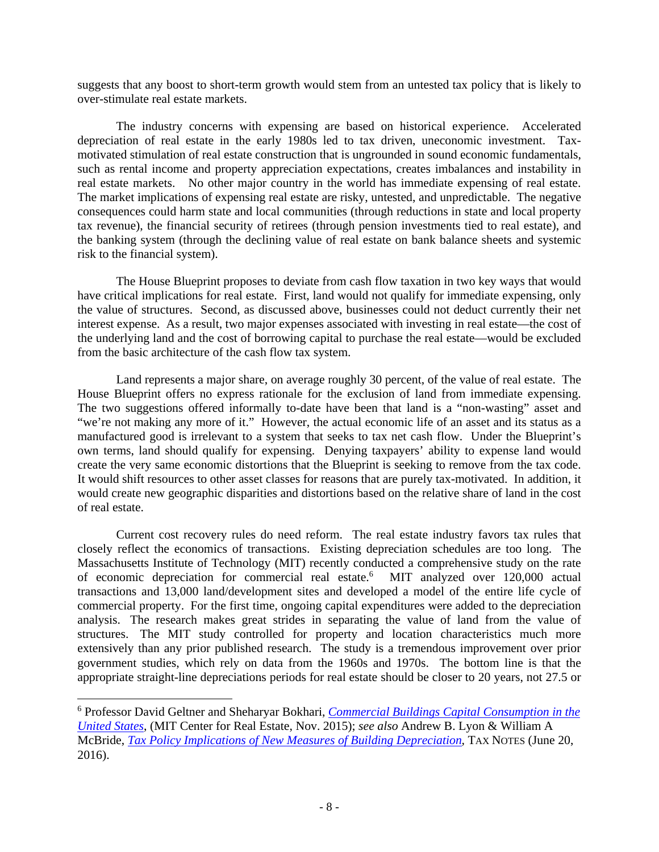suggests that any boost to short-term growth would stem from an untested tax policy that is likely to over-stimulate real estate markets.

The industry concerns with expensing are based on historical experience. Accelerated depreciation of real estate in the early 1980s led to tax driven, uneconomic investment. Taxmotivated stimulation of real estate construction that is ungrounded in sound economic fundamentals, such as rental income and property appreciation expectations, creates imbalances and instability in real estate markets. No other major country in the world has immediate expensing of real estate. The market implications of expensing real estate are risky, untested, and unpredictable. The negative consequences could harm state and local communities (through reductions in state and local property tax revenue), the financial security of retirees (through pension investments tied to real estate), and the banking system (through the declining value of real estate on bank balance sheets and systemic risk to the financial system).

The House Blueprint proposes to deviate from cash flow taxation in two key ways that would have critical implications for real estate. First, land would not qualify for immediate expensing, only the value of structures. Second, as discussed above, businesses could not deduct currently their net interest expense. As a result, two major expenses associated with investing in real estate—the cost of the underlying land and the cost of borrowing capital to purchase the real estate—would be excluded from the basic architecture of the cash flow tax system.

Land represents a major share, on average roughly 30 percent, of the value of real estate. The House Blueprint offers no express rationale for the exclusion of land from immediate expensing. The two suggestions offered informally to-date have been that land is a "non-wasting" asset and "we're not making any more of it." However, the actual economic life of an asset and its status as a manufactured good is irrelevant to a system that seeks to tax net cash flow. Under the Blueprint's own terms, land should qualify for expensing. Denying taxpayers' ability to expense land would create the very same economic distortions that the Blueprint is seeking to remove from the tax code. It would shift resources to other asset classes for reasons that are purely tax-motivated. In addition, it would create new geographic disparities and distortions based on the relative share of land in the cost of real estate.

Current cost recovery rules do need reform. The real estate industry favors tax rules that closely reflect the economics of transactions. Existing depreciation schedules are too long. The Massachusetts Institute of Technology (MIT) recently conducted a comprehensive study on the rate of economic depreciation for commercial real estate.<sup>6</sup> MIT analyzed over 120,000 actual transactions and 13,000 land/development sites and developed a model of the entire life cycle of commercial property. For the first time, ongoing capital expenditures were added to the depreciation analysis. The research makes great strides in separating the value of land from the value of structures. The MIT study controlled for property and location characteristics much more extensively than any prior published research. The study is a tremendous improvement over prior government studies, which rely on data from the 1960s and 1970s. The bottom line is that the appropriate straight-line depreciations periods for real estate should be closer to 20 years, not 27.5 or

<sup>6</sup> Professor David Geltner and Sheharyar Bokhari, *Commercial Buildings Capital Consumption in the United States*, (MIT Center for Real Estate, Nov. 2015); *see also* Andrew B. Lyon & William A McBride, *Tax Policy Implications of New Measures of Building Depreciation*, TAX NOTES (June 20, 2016).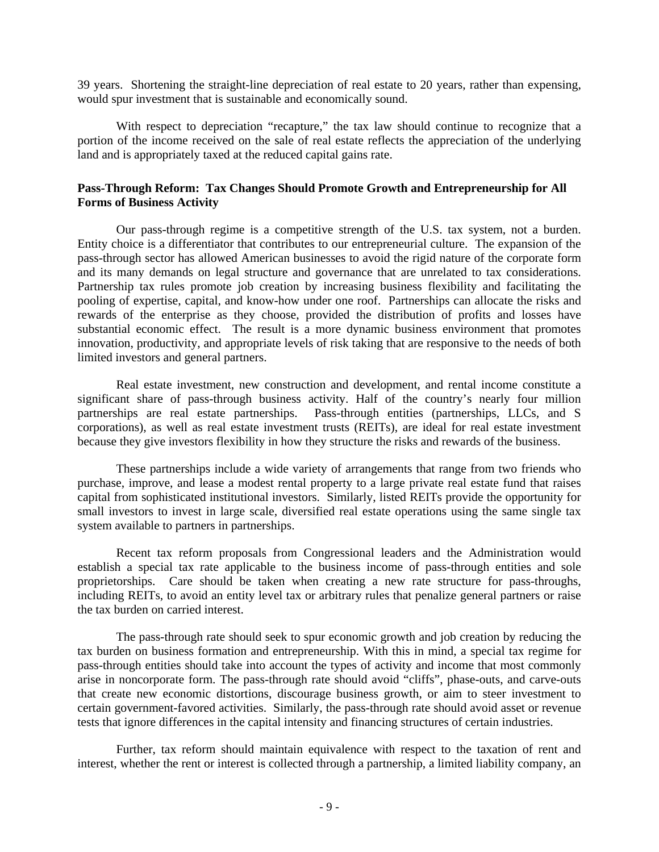39 years. Shortening the straight-line depreciation of real estate to 20 years, rather than expensing, would spur investment that is sustainable and economically sound.

With respect to depreciation "recapture," the tax law should continue to recognize that a portion of the income received on the sale of real estate reflects the appreciation of the underlying land and is appropriately taxed at the reduced capital gains rate.

#### **Pass-Through Reform: Tax Changes Should Promote Growth and Entrepreneurship for All Forms of Business Activity**

Our pass-through regime is a competitive strength of the U.S. tax system, not a burden. Entity choice is a differentiator that contributes to our entrepreneurial culture. The expansion of the pass-through sector has allowed American businesses to avoid the rigid nature of the corporate form and its many demands on legal structure and governance that are unrelated to tax considerations. Partnership tax rules promote job creation by increasing business flexibility and facilitating the pooling of expertise, capital, and know-how under one roof. Partnerships can allocate the risks and rewards of the enterprise as they choose, provided the distribution of profits and losses have substantial economic effect. The result is a more dynamic business environment that promotes innovation, productivity, and appropriate levels of risk taking that are responsive to the needs of both limited investors and general partners.

Real estate investment, new construction and development, and rental income constitute a significant share of pass-through business activity. Half of the country's nearly four million partnerships are real estate partnerships. Pass-through entities (partnerships, LLCs, and S corporations), as well as real estate investment trusts (REITs), are ideal for real estate investment because they give investors flexibility in how they structure the risks and rewards of the business.

These partnerships include a wide variety of arrangements that range from two friends who purchase, improve, and lease a modest rental property to a large private real estate fund that raises capital from sophisticated institutional investors. Similarly, listed REITs provide the opportunity for small investors to invest in large scale, diversified real estate operations using the same single tax system available to partners in partnerships.

Recent tax reform proposals from Congressional leaders and the Administration would establish a special tax rate applicable to the business income of pass-through entities and sole proprietorships. Care should be taken when creating a new rate structure for pass-throughs, including REITs, to avoid an entity level tax or arbitrary rules that penalize general partners or raise the tax burden on carried interest.

The pass-through rate should seek to spur economic growth and job creation by reducing the tax burden on business formation and entrepreneurship. With this in mind, a special tax regime for pass-through entities should take into account the types of activity and income that most commonly arise in noncorporate form. The pass-through rate should avoid "cliffs", phase-outs, and carve-outs that create new economic distortions, discourage business growth, or aim to steer investment to certain government-favored activities. Similarly, the pass-through rate should avoid asset or revenue tests that ignore differences in the capital intensity and financing structures of certain industries.

Further, tax reform should maintain equivalence with respect to the taxation of rent and interest, whether the rent or interest is collected through a partnership, a limited liability company, an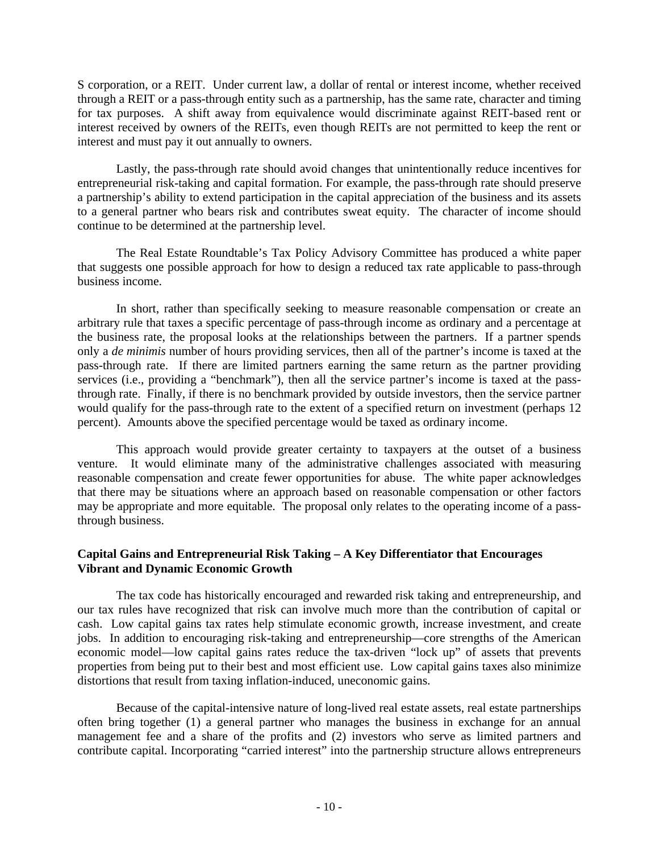S corporation, or a REIT. Under current law, a dollar of rental or interest income, whether received through a REIT or a pass-through entity such as a partnership, has the same rate, character and timing for tax purposes. A shift away from equivalence would discriminate against REIT-based rent or interest received by owners of the REITs, even though REITs are not permitted to keep the rent or interest and must pay it out annually to owners.

Lastly, the pass-through rate should avoid changes that unintentionally reduce incentives for entrepreneurial risk-taking and capital formation. For example, the pass-through rate should preserve a partnership's ability to extend participation in the capital appreciation of the business and its assets to a general partner who bears risk and contributes sweat equity. The character of income should continue to be determined at the partnership level.

The Real Estate Roundtable's Tax Policy Advisory Committee has produced a white paper that suggests one possible approach for how to design a reduced tax rate applicable to pass-through business income.

In short, rather than specifically seeking to measure reasonable compensation or create an arbitrary rule that taxes a specific percentage of pass-through income as ordinary and a percentage at the business rate, the proposal looks at the relationships between the partners. If a partner spends only a *de minimis* number of hours providing services, then all of the partner's income is taxed at the pass-through rate. If there are limited partners earning the same return as the partner providing services (i.e., providing a "benchmark"), then all the service partner's income is taxed at the passthrough rate. Finally, if there is no benchmark provided by outside investors, then the service partner would qualify for the pass-through rate to the extent of a specified return on investment (perhaps 12 percent). Amounts above the specified percentage would be taxed as ordinary income.

This approach would provide greater certainty to taxpayers at the outset of a business venture. It would eliminate many of the administrative challenges associated with measuring reasonable compensation and create fewer opportunities for abuse. The white paper acknowledges that there may be situations where an approach based on reasonable compensation or other factors may be appropriate and more equitable. The proposal only relates to the operating income of a passthrough business.

# **Capital Gains and Entrepreneurial Risk Taking – A Key Differentiator that Encourages Vibrant and Dynamic Economic Growth**

The tax code has historically encouraged and rewarded risk taking and entrepreneurship, and our tax rules have recognized that risk can involve much more than the contribution of capital or cash. Low capital gains tax rates help stimulate economic growth, increase investment, and create jobs. In addition to encouraging risk-taking and entrepreneurship—core strengths of the American economic model—low capital gains rates reduce the tax-driven "lock up" of assets that prevents properties from being put to their best and most efficient use. Low capital gains taxes also minimize distortions that result from taxing inflation-induced, uneconomic gains.

Because of the capital-intensive nature of long-lived real estate assets, real estate partnerships often bring together (1) a general partner who manages the business in exchange for an annual management fee and a share of the profits and (2) investors who serve as limited partners and contribute capital. Incorporating "carried interest" into the partnership structure allows entrepreneurs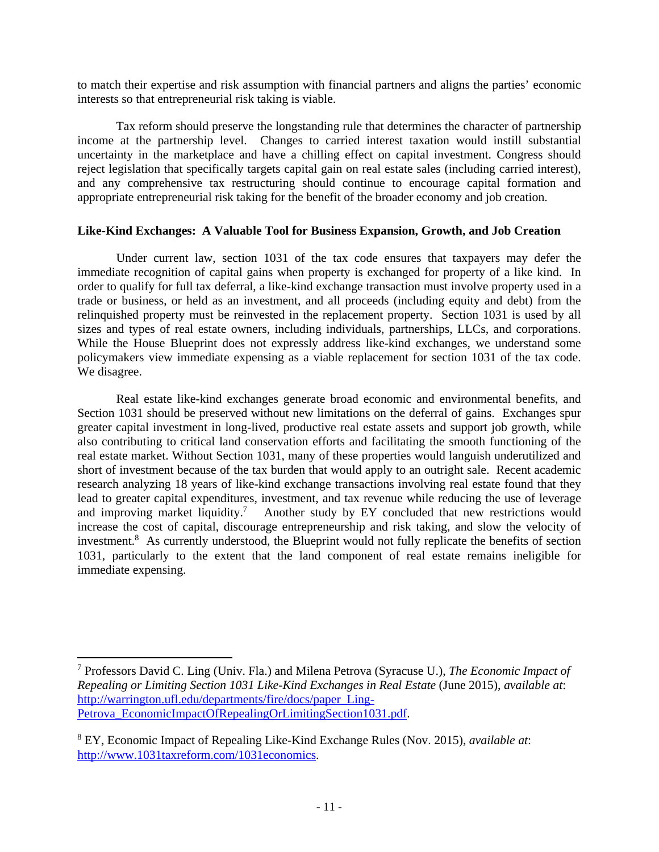to match their expertise and risk assumption with financial partners and aligns the parties' economic interests so that entrepreneurial risk taking is viable.

Tax reform should preserve the longstanding rule that determines the character of partnership income at the partnership level. Changes to carried interest taxation would instill substantial uncertainty in the marketplace and have a chilling effect on capital investment. Congress should reject legislation that specifically targets capital gain on real estate sales (including carried interest), and any comprehensive tax restructuring should continue to encourage capital formation and appropriate entrepreneurial risk taking for the benefit of the broader economy and job creation.

### **Like-Kind Exchanges: A Valuable Tool for Business Expansion, Growth, and Job Creation**

Under current law, section 1031 of the tax code ensures that taxpayers may defer the immediate recognition of capital gains when property is exchanged for property of a like kind. In order to qualify for full tax deferral, a like-kind exchange transaction must involve property used in a trade or business, or held as an investment, and all proceeds (including equity and debt) from the relinquished property must be reinvested in the replacement property. Section 1031 is used by all sizes and types of real estate owners, including individuals, partnerships, LLCs, and corporations. While the House Blueprint does not expressly address like-kind exchanges, we understand some policymakers view immediate expensing as a viable replacement for section 1031 of the tax code. We disagree.

Real estate like-kind exchanges generate broad economic and environmental benefits, and Section 1031 should be preserved without new limitations on the deferral of gains. Exchanges spur greater capital investment in long-lived, productive real estate assets and support job growth, while also contributing to critical land conservation efforts and facilitating the smooth functioning of the real estate market. Without Section 1031, many of these properties would languish underutilized and short of investment because of the tax burden that would apply to an outright sale. Recent academic research analyzing 18 years of like-kind exchange transactions involving real estate found that they lead to greater capital expenditures, investment, and tax revenue while reducing the use of leverage and improving market liquidity.<sup>7</sup> Another study by EY concluded that new restrictions would increase the cost of capital, discourage entrepreneurship and risk taking, and slow the velocity of investment.<sup>8</sup> As currently understood, the Blueprint would not fully replicate the benefits of section 1031, particularly to the extent that the land component of real estate remains ineligible for immediate expensing.

 7 Professors David C. Ling (Univ. Fla.) and Milena Petrova (Syracuse U.), *The Economic Impact of Repealing or Limiting Section 1031 Like-Kind Exchanges in Real Estate* (June 2015), *available at*: http://warrington.ufl.edu/departments/fire/docs/paper\_Ling-Petrova EconomicImpactOfRepealingOrLimitingSection1031.pdf.

<sup>8</sup> EY, Economic Impact of Repealing Like-Kind Exchange Rules (Nov. 2015), *available at*: http://www.1031taxreform.com/1031economics.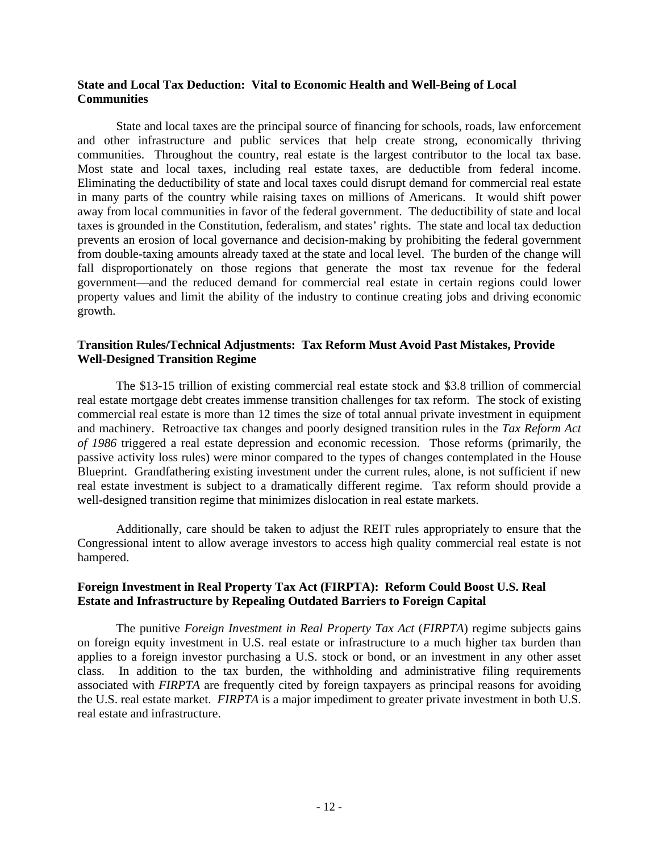## **State and Local Tax Deduction: Vital to Economic Health and Well-Being of Local Communities**

State and local taxes are the principal source of financing for schools, roads, law enforcement and other infrastructure and public services that help create strong, economically thriving communities. Throughout the country, real estate is the largest contributor to the local tax base. Most state and local taxes, including real estate taxes, are deductible from federal income. Eliminating the deductibility of state and local taxes could disrupt demand for commercial real estate in many parts of the country while raising taxes on millions of Americans. It would shift power away from local communities in favor of the federal government. The deductibility of state and local taxes is grounded in the Constitution, federalism, and states' rights. The state and local tax deduction prevents an erosion of local governance and decision-making by prohibiting the federal government from double-taxing amounts already taxed at the state and local level. The burden of the change will fall disproportionately on those regions that generate the most tax revenue for the federal government—and the reduced demand for commercial real estate in certain regions could lower property values and limit the ability of the industry to continue creating jobs and driving economic growth.

## **Transition Rules/Technical Adjustments: Tax Reform Must Avoid Past Mistakes, Provide Well-Designed Transition Regime**

The \$13-15 trillion of existing commercial real estate stock and \$3.8 trillion of commercial real estate mortgage debt creates immense transition challenges for tax reform. The stock of existing commercial real estate is more than 12 times the size of total annual private investment in equipment and machinery. Retroactive tax changes and poorly designed transition rules in the *Tax Reform Act of 1986* triggered a real estate depression and economic recession. Those reforms (primarily, the passive activity loss rules) were minor compared to the types of changes contemplated in the House Blueprint. Grandfathering existing investment under the current rules, alone, is not sufficient if new real estate investment is subject to a dramatically different regime. Tax reform should provide a well-designed transition regime that minimizes dislocation in real estate markets.

Additionally, care should be taken to adjust the REIT rules appropriately to ensure that the Congressional intent to allow average investors to access high quality commercial real estate is not hampered.

### **Foreign Investment in Real Property Tax Act (FIRPTA): Reform Could Boost U.S. Real Estate and Infrastructure by Repealing Outdated Barriers to Foreign Capital**

The punitive *Foreign Investment in Real Property Tax Act* (*FIRPTA*) regime subjects gains on foreign equity investment in U.S. real estate or infrastructure to a much higher tax burden than applies to a foreign investor purchasing a U.S. stock or bond, or an investment in any other asset class. In addition to the tax burden, the withholding and administrative filing requirements associated with *FIRPTA* are frequently cited by foreign taxpayers as principal reasons for avoiding the U.S. real estate market. *FIRPTA* is a major impediment to greater private investment in both U.S. real estate and infrastructure.